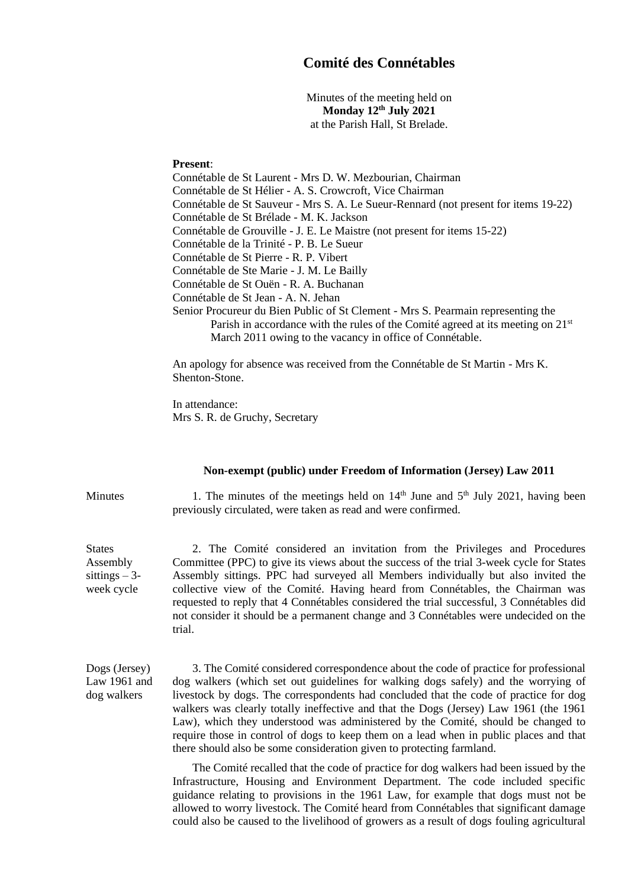## **Comité des Connétables**

Minutes of the meeting held on **Monday 12th July 2021** at the Parish Hall, St Brelade.

## **Present**:

Connétable de St Laurent - Mrs D. W. Mezbourian, Chairman Connétable de St Hélier - A. S. Crowcroft, Vice Chairman Connétable de St Sauveur - Mrs S. A. Le Sueur-Rennard (not present for items 19-22) Connétable de St Brélade - M. K. Jackson Connétable de Grouville - J. E. Le Maistre (not present for items 15-22) Connétable de la Trinité - P. B. Le Sueur Connétable de St Pierre - R. P. Vibert Connétable de Ste Marie - J. M. Le Bailly Connétable de St Ouën - R. A. Buchanan Connétable de St Jean - A. N. Jehan Senior Procureur du Bien Public of St Clement - Mrs S. Pearmain representing the Parish in accordance with the rules of the Comité agreed at its meeting on 21<sup>st</sup> March 2011 owing to the vacancy in office of Connétable.

An apology for absence was received from the Connétable de St Martin - Mrs K. Shenton-Stone.

In attendance: Mrs S. R. de Gruchy, Secretary

## **Non-exempt (public) under Freedom of Information (Jersey) Law 2011**

Minutes 1. The minutes of the meetings held on  $14<sup>th</sup>$  June and  $5<sup>th</sup>$  July 2021, having been previously circulated, were taken as read and were confirmed.

> 2. The Comité considered an invitation from the Privileges and Procedures Committee (PPC) to give its views about the success of the trial 3-week cycle for States Assembly sittings. PPC had surveyed all Members individually but also invited the collective view of the Comité. Having heard from Connétables, the Chairman was requested to reply that 4 Connétables considered the trial successful, 3 Connétables did not consider it should be a permanent change and 3 Connétables were undecided on the trial.

Dogs (Jersey) Law 1961 and dog walkers

**States** Assembly sittings  $-3$ week cycle

> 3. The Comité considered correspondence about the code of practice for professional dog walkers (which set out guidelines for walking dogs safely) and the worrying of livestock by dogs. The correspondents had concluded that the code of practice for dog walkers was clearly totally ineffective and that the Dogs (Jersey) Law 1961 (the 1961 Law), which they understood was administered by the Comité, should be changed to require those in control of dogs to keep them on a lead when in public places and that there should also be some consideration given to protecting farmland.

> The Comité recalled that the code of practice for dog walkers had been issued by the Infrastructure, Housing and Environment Department. The code included specific guidance relating to provisions in the 1961 Law, for example that dogs must not be allowed to worry livestock. The Comité heard from Connétables that significant damage could also be caused to the livelihood of growers as a result of dogs fouling agricultural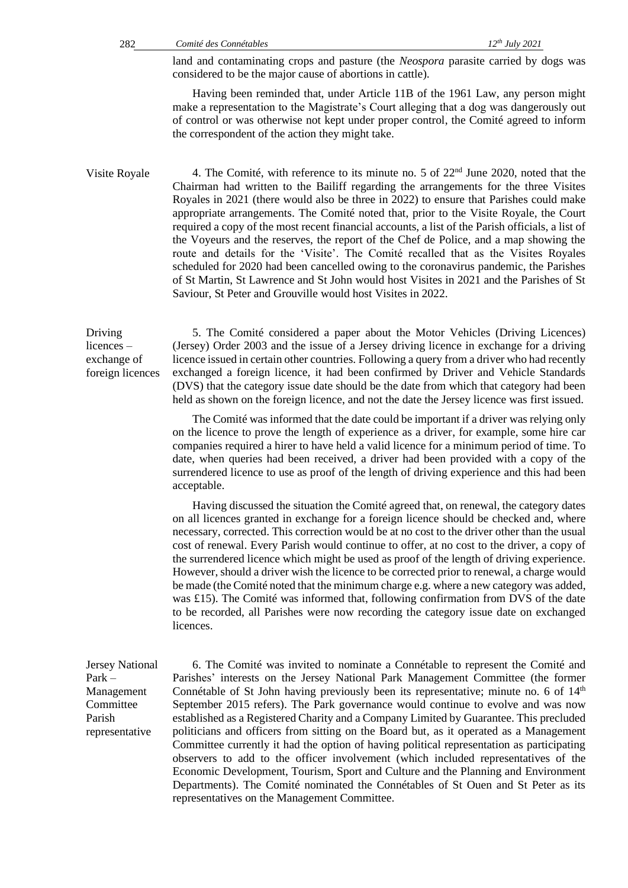land and contaminating crops and pasture (the *Neospora* parasite carried by dogs was considered to be the major cause of abortions in cattle).

Having been reminded that, under Article 11B of the 1961 Law, any person might make a representation to the Magistrate's Court alleging that a dog was dangerously out of control or was otherwise not kept under proper control, the Comité agreed to inform the correspondent of the action they might take.

Visite Royale 4. The Comité, with reference to its minute no. 5 of  $22<sup>nd</sup>$  June 2020, noted that the Chairman had written to the Bailiff regarding the arrangements for the three Visites Royales in 2021 (there would also be three in 2022) to ensure that Parishes could make appropriate arrangements. The Comité noted that, prior to the Visite Royale, the Court required a copy of the most recent financial accounts, a list of the Parish officials, a list of the Voyeurs and the reserves, the report of the Chef de Police, and a map showing the route and details for the 'Visite'. The Comité recalled that as the Visites Royales scheduled for 2020 had been cancelled owing to the coronavirus pandemic, the Parishes of St Martin, St Lawrence and St John would host Visites in 2021 and the Parishes of St Saviour, St Peter and Grouville would host Visites in 2022.

Driving licences – exchange of foreign licences 5. The Comité considered a paper about the Motor Vehicles (Driving Licences) (Jersey) Order 2003 and the issue of a Jersey driving licence in exchange for a driving licence issued in certain other countries. Following a query from a driver who had recently exchanged a foreign licence, it had been confirmed by Driver and Vehicle Standards (DVS) that the category issue date should be the date from which that category had been held as shown on the foreign licence, and not the date the Jersey licence was first issued.

> The Comité was informed that the date could be important if a driver was relying only on the licence to prove the length of experience as a driver, for example, some hire car companies required a hirer to have held a valid licence for a minimum period of time. To date, when queries had been received, a driver had been provided with a copy of the surrendered licence to use as proof of the length of driving experience and this had been acceptable.

> Having discussed the situation the Comité agreed that, on renewal, the category dates on all licences granted in exchange for a foreign licence should be checked and, where necessary, corrected. This correction would be at no cost to the driver other than the usual cost of renewal. Every Parish would continue to offer, at no cost to the driver, a copy of the surrendered licence which might be used as proof of the length of driving experience. However, should a driver wish the licence to be corrected prior to renewal, a charge would be made (the Comité noted that the minimum charge e.g. where a new category was added, was £15). The Comité was informed that, following confirmation from DVS of the date to be recorded, all Parishes were now recording the category issue date on exchanged licences.

Jersey National Park – Management Committee Parish representative

6. The Comité was invited to nominate a Connétable to represent the Comité and Parishes' interests on the Jersey National Park Management Committee (the former Connétable of St John having previously been its representative; minute no. 6 of  $14<sup>th</sup>$ September 2015 refers). The Park governance would continue to evolve and was now established as a Registered Charity and a Company Limited by Guarantee. This precluded politicians and officers from sitting on the Board but, as it operated as a Management Committee currently it had the option of having political representation as participating observers to add to the officer involvement (which included representatives of the Economic Development, Tourism, Sport and Culture and the Planning and Environment Departments). The Comité nominated the Connétables of St Ouen and St Peter as its representatives on the Management Committee.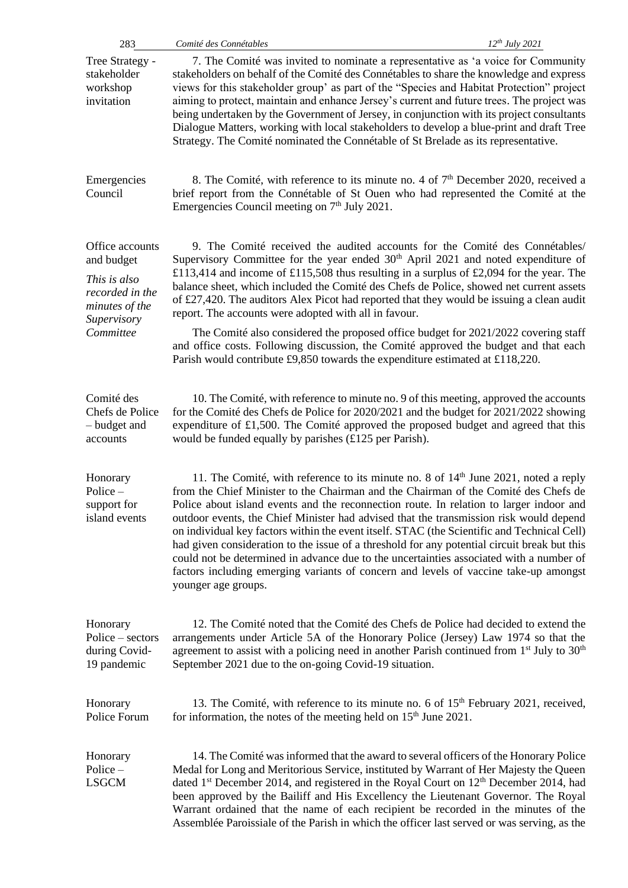| 283                                                                                                            | Comité des Connétables<br>$12^{th}$ July 2021                                                                                                                                                                                                                                                                                                                                                                                                                                                                                                                                                                                                                                                                                                                                        |
|----------------------------------------------------------------------------------------------------------------|--------------------------------------------------------------------------------------------------------------------------------------------------------------------------------------------------------------------------------------------------------------------------------------------------------------------------------------------------------------------------------------------------------------------------------------------------------------------------------------------------------------------------------------------------------------------------------------------------------------------------------------------------------------------------------------------------------------------------------------------------------------------------------------|
| Tree Strategy -<br>stakeholder<br>workshop<br>invitation                                                       | 7. The Comité was invited to nominate a representative as 'a voice for Community<br>stakeholders on behalf of the Comité des Connétables to share the knowledge and express<br>views for this stakeholder group' as part of the "Species and Habitat Protection" project<br>aiming to protect, maintain and enhance Jersey's current and future trees. The project was<br>being undertaken by the Government of Jersey, in conjunction with its project consultants<br>Dialogue Matters, working with local stakeholders to develop a blue-print and draft Tree<br>Strategy. The Comité nominated the Connétable of St Brelade as its representative.                                                                                                                                |
| Emergencies<br>Council                                                                                         | 8. The Comité, with reference to its minute no. 4 of $7th$ December 2020, received a<br>brief report from the Connétable of St Ouen who had represented the Comité at the<br>Emergencies Council meeting on $7th$ July 2021.                                                                                                                                                                                                                                                                                                                                                                                                                                                                                                                                                         |
| Office accounts<br>and budget<br>This is also<br>recorded in the<br>minutes of the<br>Supervisory<br>Committee | 9. The Comité received the audited accounts for the Comité des Connétables/<br>Supervisory Committee for the year ended $30th$ April 2021 and noted expenditure of<br>£113,414 and income of £115,508 thus resulting in a surplus of £2,094 for the year. The<br>balance sheet, which included the Comité des Chefs de Police, showed net current assets<br>of £27,420. The auditors Alex Picot had reported that they would be issuing a clean audit<br>report. The accounts were adopted with all in favour.                                                                                                                                                                                                                                                                       |
|                                                                                                                | The Comité also considered the proposed office budget for 2021/2022 covering staff<br>and office costs. Following discussion, the Comité approved the budget and that each<br>Parish would contribute £9,850 towards the expenditure estimated at £118,220.                                                                                                                                                                                                                                                                                                                                                                                                                                                                                                                          |
| Comité des<br>Chefs de Police<br>- budget and<br>accounts                                                      | 10. The Comité, with reference to minute no. 9 of this meeting, approved the accounts<br>for the Comité des Chefs de Police for 2020/2021 and the budget for 2021/2022 showing<br>expenditure of $\pounds1,500$ . The Comité approved the proposed budget and agreed that this<br>would be funded equally by parishes $(\text{\pounds}125 \text{ per Parish})$ .                                                                                                                                                                                                                                                                                                                                                                                                                     |
| Honorary<br>Police $-$<br>support for<br>island events                                                         | 11. The Comité, with reference to its minute no. 8 of 14 <sup>th</sup> June 2021, noted a reply<br>from the Chief Minister to the Chairman and the Chairman of the Comité des Chefs de<br>Police about island events and the reconnection route. In relation to larger indoor and<br>outdoor events, the Chief Minister had advised that the transmission risk would depend<br>on individual key factors within the event itself. STAC (the Scientific and Technical Cell)<br>had given consideration to the issue of a threshold for any potential circuit break but this<br>could not be determined in advance due to the uncertainties associated with a number of<br>factors including emerging variants of concern and levels of vaccine take-up amongst<br>younger age groups. |
| Honorary<br>Police – sectors<br>during Covid-<br>19 pandemic                                                   | 12. The Comité noted that the Comité des Chefs de Police had decided to extend the<br>arrangements under Article 5A of the Honorary Police (Jersey) Law 1974 so that the<br>agreement to assist with a policing need in another Parish continued from $1st$ July to $30th$<br>September 2021 due to the on-going Covid-19 situation.                                                                                                                                                                                                                                                                                                                                                                                                                                                 |
| Honorary<br>Police Forum                                                                                       | 13. The Comité, with reference to its minute no. 6 of 15 <sup>th</sup> February 2021, received,<br>for information, the notes of the meeting held on $15th$ June 2021.                                                                                                                                                                                                                                                                                                                                                                                                                                                                                                                                                                                                               |
| Honorary<br>Police $-$<br><b>LSGCM</b>                                                                         | 14. The Comité was informed that the award to several officers of the Honorary Police<br>Medal for Long and Meritorious Service, instituted by Warrant of Her Majesty the Queen<br>dated 1 <sup>st</sup> December 2014, and registered in the Royal Court on 12 <sup>th</sup> December 2014, had<br>been approved by the Bailiff and His Excellency the Lieutenant Governor. The Royal<br>Warrant ordained that the name of each recipient be recorded in the minutes of the<br>Assemblée Paroissiale of the Parish in which the officer last served or was serving, as the                                                                                                                                                                                                          |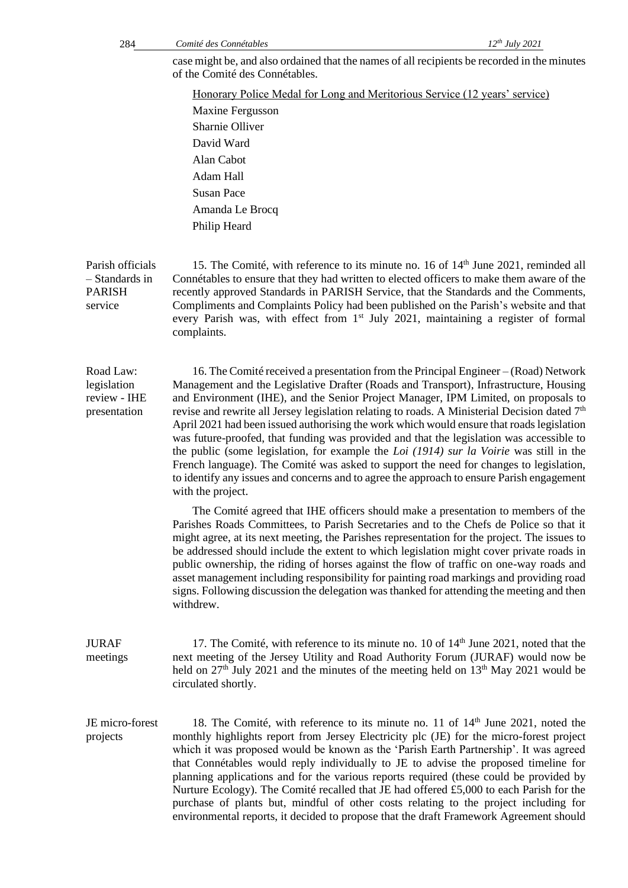*Comité des Connétables 12th* 284 *July 2021* case might be, and also ordained that the names of all recipients be recorded in the minutes of the Comité des Connétables. Honorary Police Medal for Long and Meritorious Service (12 years' service) Maxine Fergusson Sharnie Olliver David Ward Alan Cabot Adam Hall Susan Pace Amanda Le Brocq Philip Heard Parish officials – Standards in PARISH service 15. The Comité, with reference to its minute no. 16 of 14<sup>th</sup> June 2021, reminded all Connétables to ensure that they had written to elected officers to make them aware of the recently approved Standards in PARISH Service, that the Standards and the Comments, Compliments and Complaints Policy had been published on the Parish's website and that every Parish was, with effect from 1<sup>st</sup> July 2021, maintaining a register of formal complaints. Road Law: legislation review - IHE presentation 16. The Comité received a presentation from the Principal Engineer – (Road) Network Management and the Legislative Drafter (Roads and Transport), Infrastructure, Housing and Environment (IHE), and the Senior Project Manager, IPM Limited, on proposals to revise and rewrite all Jersey legislation relating to roads. A Ministerial Decision dated  $7<sup>th</sup>$ April 2021 had been issued authorising the work which would ensure that roads legislation was future-proofed, that funding was provided and that the legislation was accessible to the public (some legislation, for example the *Loi (1914) sur la Voirie* was still in the French language). The Comité was asked to support the need for changes to legislation, to identify any issues and concerns and to agree the approach to ensure Parish engagement with the project. The Comité agreed that IHE officers should make a presentation to members of the Parishes Roads Committees, to Parish Secretaries and to the Chefs de Police so that it might agree, at its next meeting, the Parishes representation for the project. The issues to be addressed should include the extent to which legislation might cover private roads in public ownership, the riding of horses against the flow of traffic on one-way roads and asset management including responsibility for painting road markings and providing road signs. Following discussion the delegation was thanked for attending the meeting and then withdrew. JURAF meetings 17. The Comité, with reference to its minute no. 10 of  $14<sup>th</sup>$  June 2021, noted that the next meeting of the Jersey Utility and Road Authority Forum (JURAF) would now be held on  $27<sup>th</sup>$  July 2021 and the minutes of the meeting held on  $13<sup>th</sup>$  May 2021 would be circulated shortly. JE micro-forest projects 18. The Comité, with reference to its minute no. 11 of  $14<sup>th</sup>$  June 2021, noted the monthly highlights report from Jersey Electricity plc (JE) for the micro-forest project which it was proposed would be known as the 'Parish Earth Partnership'. It was agreed that Connétables would reply individually to JE to advise the proposed timeline for planning applications and for the various reports required (these could be provided by Nurture Ecology). The Comité recalled that JE had offered £5,000 to each Parish for the

> purchase of plants but, mindful of other costs relating to the project including for environmental reports, it decided to propose that the draft Framework Agreement should